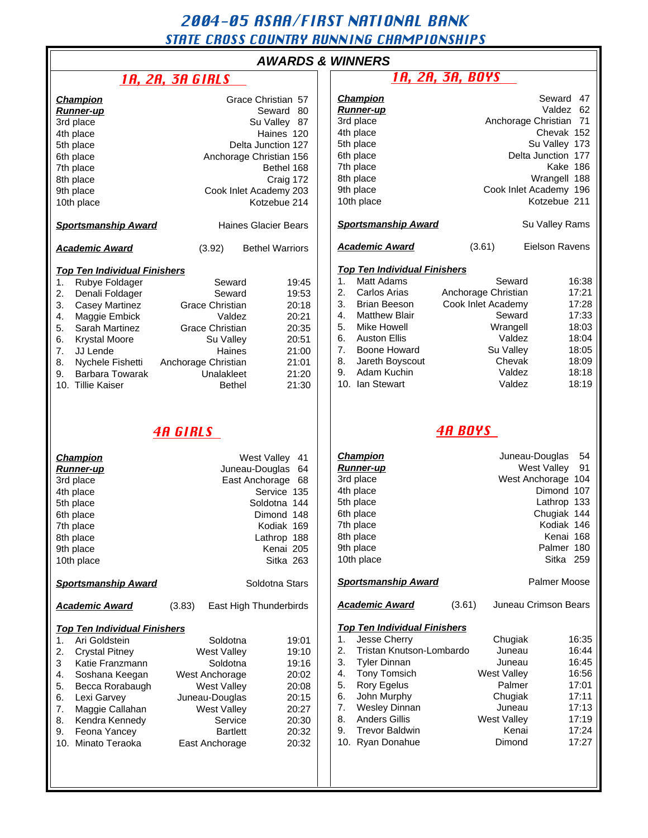# 2004-05 ASAA/FIRST NATIONAL BANK

# STATE CROSS COUNTRY RUNNING CHAMPIONSHIPS

# **Champion** Grace Christian 57<br>**Runner-un** Seward 80

|                                     | <u>Runner-up</u>           |                        | 80<br>Seward            |  |  |  |  |
|-------------------------------------|----------------------------|------------------------|-------------------------|--|--|--|--|
|                                     | 3rd place                  |                        | Su Valley 87            |  |  |  |  |
|                                     | 4th place                  |                        | Haines 120              |  |  |  |  |
|                                     | 5th place                  |                        | Delta Junction 127      |  |  |  |  |
|                                     | 6th place                  |                        | Anchorage Christian 156 |  |  |  |  |
|                                     | 7th place                  | Bethel 168             |                         |  |  |  |  |
|                                     | 8th place                  | Craig 172              |                         |  |  |  |  |
|                                     | 9th place                  | Cook Inlet Academy 203 |                         |  |  |  |  |
|                                     | 10th place                 |                        | Kotzebue 214            |  |  |  |  |
|                                     | <u>Sportsmanship Award</u> |                        | Haines Glacier Bears    |  |  |  |  |
| <b>Academic Award</b>               |                            | (3.92)                 | <b>Bethel Warriors</b>  |  |  |  |  |
| <b>Top Ten Individual Finishers</b> |                            |                        |                         |  |  |  |  |
| 1.                                  | Rubye Foldager             | Seward                 | 19:45                   |  |  |  |  |
| 2.                                  | Denali Foldager            | Seward                 | 19:53                   |  |  |  |  |
| 3.                                  | <b>Casey Martinez</b>      | <b>Grace Christian</b> | 20:18                   |  |  |  |  |
| 4.                                  | Maggie Embick              | Valdez                 | 20:21                   |  |  |  |  |
| 5.                                  | Sarah Martinez             | <b>Grace Christian</b> | 20:35                   |  |  |  |  |
| 6.                                  | <b>Krystal Moore</b>       | Su Valley              | 20:51                   |  |  |  |  |
| 7.                                  | JJ Lende                   | Haines                 | 21:00                   |  |  |  |  |
| 8.                                  | Nychele Fishetti           | Anchorage Christian    | 21:01                   |  |  |  |  |
| 9.                                  | Barbara Towarak            | Unalakleet             | 21:20                   |  |  |  |  |
|                                     | 10. Tillie Kaiser          | Bethel                 | 21:30                   |  |  |  |  |

#### 4A GIRLS

| 3rd place<br>4th place<br>5th place<br>6th place<br>7th place<br>8th place<br>9th place | <b>Champion</b><br><b>Runner-up</b><br>10th place                                                                                                                                                                           | <b>West Valley</b><br>41<br>Juneau-Douglas<br>64<br>68<br>East Anchorage<br>Service 135<br>Soldotna<br>144<br>Dimond 148<br>Kodiak 169<br>Lathrop<br>188<br>Kenai 205<br>Sitka 263 |                                                                                                                                                                            |                                                                                        |  |
|-----------------------------------------------------------------------------------------|-----------------------------------------------------------------------------------------------------------------------------------------------------------------------------------------------------------------------------|------------------------------------------------------------------------------------------------------------------------------------------------------------------------------------|----------------------------------------------------------------------------------------------------------------------------------------------------------------------------|----------------------------------------------------------------------------------------|--|
|                                                                                         | <b>Sportsmanship Award</b>                                                                                                                                                                                                  | Soldotna Stars                                                                                                                                                                     |                                                                                                                                                                            |                                                                                        |  |
| Academic Award                                                                          |                                                                                                                                                                                                                             | (3.83)                                                                                                                                                                             | East High Thunderbirds                                                                                                                                                     |                                                                                        |  |
| 1.<br>2.<br>3<br>4.<br>5.<br>6.<br>7.<br>8.<br>9.<br>10.                                | <b>Top Ten Individual Finishers</b><br>Ari Goldstein<br><b>Crystal Pitney</b><br>Katie Franzmann<br>Soshana Keegan<br>Becca Rorabaugh<br>Lexi Garvey<br>Maggie Callahan<br>Kendra Kennedy<br>Feona Yancey<br>Minato Teraoka |                                                                                                                                                                                    | Soldotna<br><b>West Valley</b><br>Soldotna<br>West Anchorage<br><b>West Valley</b><br>Juneau-Douglas<br><b>West Valley</b><br>Service<br><b>Bartlett</b><br>East Anchorage | 19:01<br>19:10<br>19:16<br>20:02<br>20:08<br>20:15<br>20:27<br>20:30<br>20:32<br>20:32 |  |
|                                                                                         |                                                                                                                                                                                                                             |                                                                                                                                                                                    |                                                                                                                                                                            |                                                                                        |  |

### **AWARDS & WINNERS**

| <b>1A, 2A, 3A GIRLS</b>                                                                                          |                                                                                                                                                                     |                                                                                                                                                                                     | <u>1A, 2A, 3A, BOYS</u>                            |                                                                                                                                                                                                                                                                 |        |                                                                                                                                |                                                                                                                                                                             |
|------------------------------------------------------------------------------------------------------------------|---------------------------------------------------------------------------------------------------------------------------------------------------------------------|-------------------------------------------------------------------------------------------------------------------------------------------------------------------------------------|----------------------------------------------------|-----------------------------------------------------------------------------------------------------------------------------------------------------------------------------------------------------------------------------------------------------------------|--------|--------------------------------------------------------------------------------------------------------------------------------|-----------------------------------------------------------------------------------------------------------------------------------------------------------------------------|
|                                                                                                                  |                                                                                                                                                                     | Grace Christian 57<br>Seward 80<br>Su Valley 87<br>Haines 120<br>Delta Junction 127<br>Anchorage Christian 156<br>Bethel 168<br>Craig 172<br>Cook Inlet Academy 203<br>Kotzebue 214 |                                                    | <b>Champion</b><br><b>Runner-up</b><br>3rd place<br>4th place<br>5th place<br>6th place<br>7th place<br>8th place<br>9th place<br>10th place                                                                                                                    |        |                                                                                                                                | Seward 47<br>Valdez 62<br>Anchorage Christian 71<br>Chevak 152<br>Su Valley 173<br>Delta Junction 177<br>Kake 186<br>Wrangell 188<br>Cook Inlet Academy 196<br>Kotzebue 211 |
| ip Award                                                                                                         |                                                                                                                                                                     | <b>Haines Glacier Bears</b>                                                                                                                                                         |                                                    | <b>Sportsmanship Award</b>                                                                                                                                                                                                                                      |        |                                                                                                                                | Su Valley Rams                                                                                                                                                              |
| 'ard                                                                                                             | (3.92)                                                                                                                                                              | <b>Bethel Warriors</b>                                                                                                                                                              |                                                    | <b>Academic Award</b>                                                                                                                                                                                                                                           |        | (3.61)                                                                                                                         | <b>Eielson Ravens</b>                                                                                                                                                       |
| <u>idual Finishers</u><br>dager<br>dager<br>rtinez<br>nbick<br>rtinez<br>ore<br>ishetti<br>owarak<br>эr          | Seward<br>Seward<br>Grace Christian<br>Valdez<br><b>Grace Christian</b><br>Su Valley<br>Haines<br>Anchorage Christian<br>Unalakleet<br><b>Bethel</b>                | 19:45<br>19:53<br>20:18<br>20:21<br>20:35<br>20:51<br>21:00<br>21:01<br>21:20<br>21:30                                                                                              | 1.<br>2.<br>3.<br>4.<br>5.<br>6.<br>7.<br>8.<br>9. | <b>Top Ten Individual Finishers</b><br>Matt Adams<br>Carlos Arias<br><b>Brian Beeson</b><br><b>Matthew Blair</b><br>Mike Howell<br><b>Auston Ellis</b><br>Boone Howard<br>Jareth Boyscout<br>Adam Kuchin<br>10. Ian Stewart                                     |        | Seward<br>Anchorage Christian<br>Cook Inlet Academy<br>Seward<br>Wrangell<br>Valdez<br>Su Valley<br>Chevak<br>Valdez<br>Valdez | 16:38<br>17:21<br>17:28<br>17:33<br>18:03<br>18:04<br>18:05<br>18:09<br>18:18<br>18:19                                                                                      |
| <b>4A GIRLS</b>                                                                                                  |                                                                                                                                                                     |                                                                                                                                                                                     | <b>4A BOYS</b>                                     |                                                                                                                                                                                                                                                                 |        |                                                                                                                                |                                                                                                                                                                             |
|                                                                                                                  |                                                                                                                                                                     | West Valley 41<br>Juneau-Douglas 64<br>East Anchorage 68<br>Service 135<br>Soldotna 144<br>Dimond 148<br>Kodiak 169<br>Lathrop 188<br>Kenai 205<br>Sitka 263                        |                                                    | <b>Champion</b><br><b>Runner-up</b><br>3rd place<br>4th place<br>5th place<br>6th place<br>7th place<br>8th place<br>9th place<br>10th place                                                                                                                    |        |                                                                                                                                | Juneau-Douglas<br>54<br>West Valley<br>91<br>West Anchorage 104<br>Dimond 107<br>Lathrop 133<br>Chugiak 144<br>Kodiak 146<br>Kenai 168<br>Palmer 180<br>Sitka 259           |
| ip Award                                                                                                         |                                                                                                                                                                     | Soldotna Stars                                                                                                                                                                      |                                                    | <b>Sportsmanship Award</b>                                                                                                                                                                                                                                      |        |                                                                                                                                | Palmer Moose                                                                                                                                                                |
| ard                                                                                                              | (3.83)                                                                                                                                                              | East High Thunderbirds                                                                                                                                                              |                                                    | <b>Academic Award</b>                                                                                                                                                                                                                                           | (3.61) |                                                                                                                                | Juneau Crimson Bears                                                                                                                                                        |
| <u>idual Finishers</u><br>ein<br>ney:<br>ızmann<br>Keegan<br>rabaugh<br>эу<br>allahan<br>ennedy<br>ncey<br>raoka | Soldotna<br><b>West Valley</b><br>Soldotna<br>West Anchorage<br><b>West Valley</b><br>Juneau-Douglas<br>West Valley<br>Service<br><b>Bartlett</b><br>East Anchorage | 19:01<br>19:10<br>19:16<br>20:02<br>20:08<br>20:15<br>20:27<br>20:30<br>20:32<br>20:32                                                                                              | 1.<br>2.<br>3.<br>4.<br>5.<br>6.<br>7.<br>8.<br>9. | <b>Top Ten Individual Finishers</b><br>Jesse Cherry<br>Tristan Knutson-Lombardo<br><b>Tyler Dinnan</b><br><b>Tony Tomsich</b><br><b>Rory Egelus</b><br>John Murphy<br><b>Wesley Dinnan</b><br><b>Anders Gillis</b><br><b>Trevor Baldwin</b><br>10. Ryan Donahue |        | Chugiak<br>Juneau<br>Juneau<br><b>West Valley</b><br>Palmer<br>Chugiak<br>Juneau<br><b>West Valley</b><br>Kenai<br>Dimond      | 16:35<br>16:44<br>16:45<br>16:56<br>17:01<br>17:11<br>17:13<br>17:19<br>17:24<br>17:27                                                                                      |